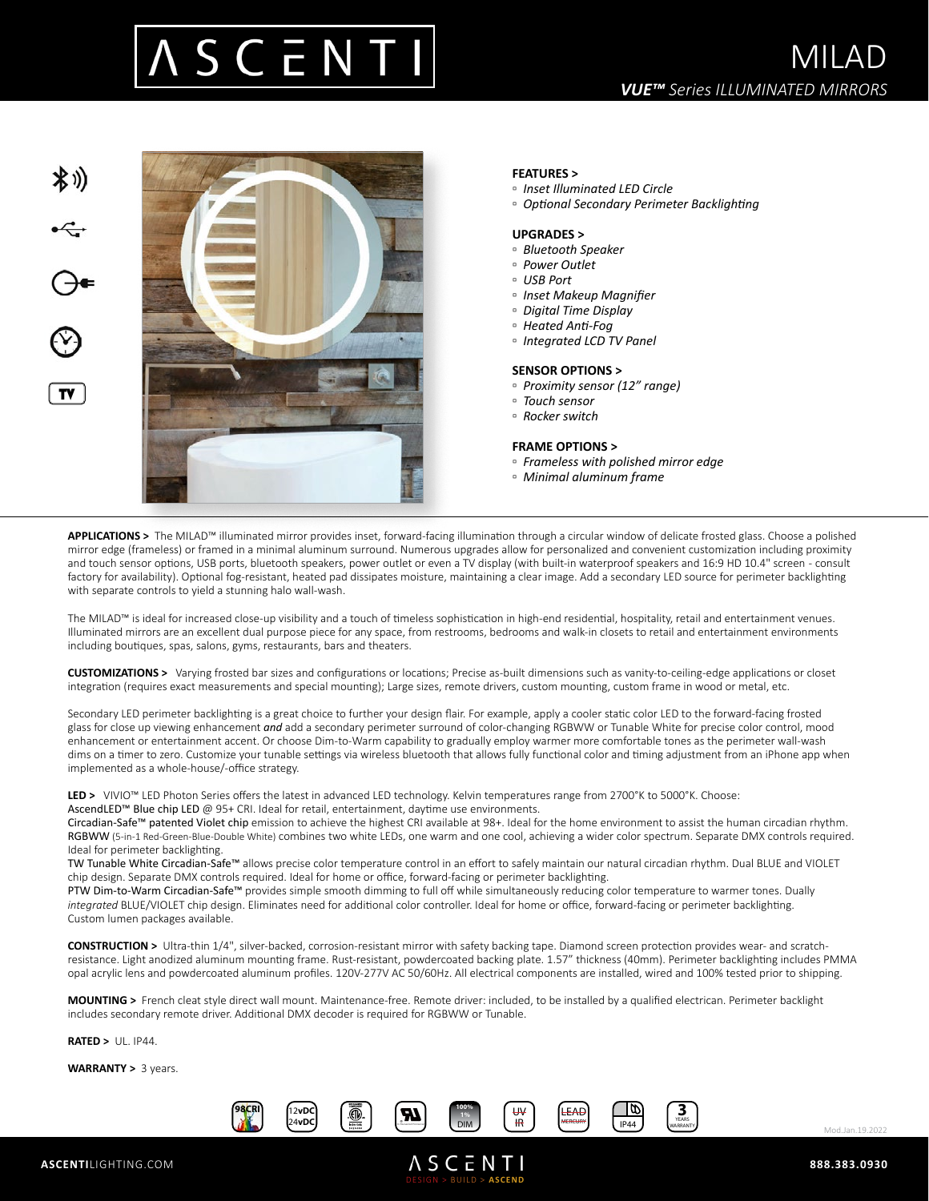



## **FEATURES >**

- *Inset Illuminated LED Circle*
- *Optional Secondary Perimeter Backlighting*

### **UPGRADES >**

- *Bluetooth Speaker*
- *Power Outlet*
- *USB Port*
- *Inset Makeup Magnifier*
- *Digital Time Display*
- *Heated Anti-Fog*
- *Integrated LCD TV Panel*

#### **SENSOR OPTIONS >**

- *Proximity sensor (12" range)*
- *Touch sensor*
- *Rocker switch*

#### **FRAME OPTIONS >**

- *Frameless with polished mirror edge*
- *Minimal aluminum frame*

**APPLICATIONS >** The MILAD™ illuminated mirror provides inset, forward-facing illumination through a circular window of delicate frosted glass. Choose a polished mirror edge (frameless) or framed in a minimal aluminum surround. Numerous upgrades allow for personalized and convenient customization including proximity and touch sensor options, USB ports, bluetooth speakers, power outlet or even a TV display (with built-in waterproof speakers and 16:9 HD 10.4" screen - consult factory for availability). Optional fog-resistant, heated pad dissipates moisture, maintaining a clear image. Add a secondary LED source for perimeter backlighting with separate controls to yield a stunning halo wall-wash.

The MILAD™ is ideal for increased close-up visibility and a touch of timeless sophistication in high-end residential, hospitality, retail and entertainment venues. Illuminated mirrors are an excellent dual purpose piece for any space, from restrooms, bedrooms and walk-in closets to retail and entertainment environments including boutiques, spas, salons, gyms, restaurants, bars and theaters.

**CUSTOMIZATIONS >** Varying frosted bar sizes and configurations or locations; Precise as-built dimensions such as vanity-to-ceiling-edge applications or closet integration (requires exact measurements and special mounting); Large sizes, remote drivers, custom mounting, custom frame in wood or metal, etc.

Secondary LED perimeter backlighting is a great choice to further your design flair. For example, apply a cooler static color LED to the forward-facing frosted glass for close up viewing enhancement *and* add a secondary perimeter surround of color-changing RGBWW or Tunable White for precise color control, mood enhancement or entertainment accent. Or choose Dim-to-Warm capability to gradually employ warmer more comfortable tones as the perimeter wall-wash dims on a timer to zero. Customize your tunable settings via wireless bluetooth that allows fully functional color and timing adjustment from an iPhone app when implemented as a whole-house/-office strategy.

LED > VIVIO™ LED Photon Series offers the latest in advanced LED technology. Kelvin temperatures range from 2700°K to 5000°K. Choose: AscendLED™ Blue chip LED @ 95+ CRI. Ideal for retail, entertainment, daytime use environments.

Circadian-Safe™ patented Violet chip emission to achieve the highest CRI available at 98+. Ideal for the home environment to assist the human circadian rhythm. RGBWW (5-in-1 Red-Green-Blue-Double White) combines two white LEDs, one warm and one cool, achieving a wider color spectrum. Separate DMX controls required. Ideal for perimeter backlighting.

TW Tunable White Circadian-Safe™ allows precise color temperature control in an effort to safely maintain our natural circadian rhythm. Dual BLUE and VIOLET chip design. Separate DMX controls required. Ideal for home or office, forward-facing or perimeter backlighting.

PTW Dim-to-Warm Circadian-Safe™ provides simple smooth dimming to full off while simultaneously reducing color temperature to warmer tones. Dually *integrated* BLUE/VIOLET chip design. Eliminates need for additional color controller. Ideal for home or office, forward-facing or perimeter backlighting. Custom lumen packages available.

**CONSTRUCTION >** Ultra-thin 1/4", silver-backed, corrosion-resistant mirror with safety backing tape. Diamond screen protection provides wear- and scratchresistance. Light anodized aluminum mounting frame. Rust-resistant, powdercoated backing plate. 1.57" thickness (40mm). Perimeter backlighting includes PMMA opal acrylic lens and powdercoated aluminum profiles. 120V-277V AC 50/60Hz. All electrical components are installed, wired and 100% tested prior to shipping.

**MOUNTING >** French cleat style direct wall mount. Maintenance-free. Remote driver: included, to be installed by a qualified electrican. Perimeter backlight includes secondary remote driver. Additional DMX decoder is required for RGBWW or Tunable.

**RATED >** UL. IP44.

**WARRANTY >** 3 years.



DESIGN > BUILD > **ASCEND**

Mod.Jan.19.2022